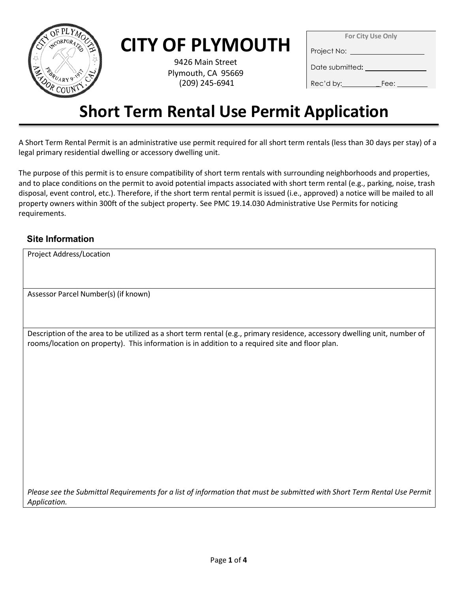

# **CITY OF PLYMOUTH**

9426 Main Street Plymouth, CA 95669 (209) 245-6941

**For City Use Only**

Project No:

Date submitted**:** 

Rec'd by: \_ Fee:

# **Short Term Rental Use Permit Application**

A Short Term Rental Permit is an administrative use permit required for all short term rentals (less than 30 days per stay) of a legal primary residential dwelling or accessory dwelling unit.

The purpose of this permit is to ensure compatibility of short term rentals with surrounding neighborhoods and properties, and to place conditions on the permit to avoid potential impacts associated with short term rental (e.g., parking, noise, trash disposal, event control, etc.). Therefore, if the short term rental permit is issued (i.e., approved) a notice will be mailed to all property owners within 300ft of the subject property. See PMC 19.14.030 Administrative Use Permits for noticing requirements.

# **Site Information**

Project Address/Location

Assessor Parcel Number(s) (if known)

Description of the area to be utilized as a short term rental (e.g., primary residence, accessory dwelling unit, number of rooms/location on property). This information is in addition to a required site and floor plan.

Please see the Submittal Requirements for a list of information that must be submitted with Short Term Rental Use Permit *Application.*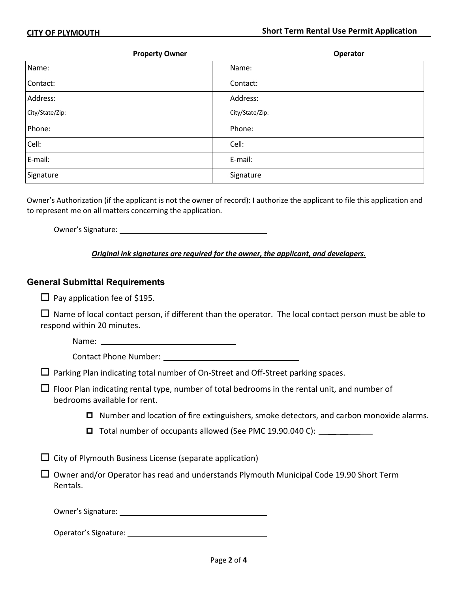| <b>Property Owner</b> | Operator        |
|-----------------------|-----------------|
| Name:                 | Name:           |
| Contact:              | Contact:        |
| Address:              | Address:        |
| City/State/Zip:       | City/State/Zip: |
| Phone:                | Phone:          |
| Cell:                 | Cell:           |
| E-mail:               | E-mail:         |
| Signature             | Signature       |

Owner's Authorization (if the applicant is not the owner of record): I authorize the applicant to file this application and to represent me on all matters concerning the application.

Owner's Signature: \_\_\_\_\_\_\_

#### *Original ink signatures are required for the owner, the applicant, and developers.*

### **General Submittal Requirements**

 $\Box$  Pay application fee of \$195.

 $\Box$  Name of local contact person, if different than the operator. The local contact person must be able to respond within 20 minutes.

Name:

| <b>Contact Phone Number:</b> |  |
|------------------------------|--|
|                              |  |

 $\Box$  Parking Plan indicating total number of On-Street and Off-Street parking spaces.

 $\Box$  Floor Plan indicating rental type, number of total bedrooms in the rental unit, and number of bedrooms available for rent.

 $\Box$  Number and location of fire extinguishers, smoke detectors, and carbon monoxide alarms.

Total number of occupants allowed (See PMC 19.90.040 C):

 $\Box$  City of Plymouth Business License (separate application)

 $\Box$  Owner and/or Operator has read and understands Plymouth Municipal Code 19.90 Short Term Rentals.

Owner's Signature: Letter and the state of the state of the state of the state of the state of the state of the state of the state of the state of the state of the state of the state of the state of the state of the state

Operator's Signature: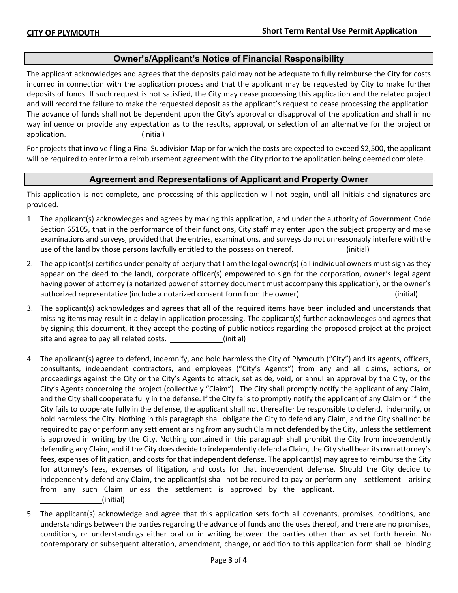## **Owner's/Applicant's Notice of Financial Responsibility**

The applicant acknowledges and agrees that the deposits paid may not be adequate to fully reimburse the City for costs incurred in connection with the application process and that the applicant may be requested by City to make further deposits of funds. If such request is not satisfied, the City may cease processing this application and the related project and will record the failure to make the requested deposit as the applicant's request to cease processing the application. The advance of funds shall not be dependent upon the City's approval or disapproval of the application and shall in no way influence or provide any expectation as to the results, approval, or selection of an alternative for the project or application. (initial)

For projects that involve filing a Final Subdivision Map or for which the costs are expected to exceed \$2,500, the applicant will be required to enter into a reimbursement agreement with the City prior to the application being deemed complete.

### **Agreement and Representations of Applicant and Property Owner**

This application is not complete, and processing of this application will not begin, until all initials and signatures are provided.

- 1. The applicant(s) acknowledges and agrees by making this application, and under the authority of Government Code Section 65105, that in the performance of their functions, City staff may enter upon the subject property and make examinations and surveys, provided that the entries, examinations, and surveys do not unreasonably interfere with the use of the land by those persons lawfully entitled to the possession thereof. (initial)
- 2. The applicant(s) certifies under penalty of perjury that I am the legal owner(s) (all individual owners must sign as they appear on the deed to the land), corporate officer(s) empowered to sign for the corporation, owner's legal agent having power of attorney (a notarized power of attorney document must accompany this application), or the owner's authorized representative (include a notarized consent form from the owner). [100] [11] [11] (initial)
- 3. The applicant(s) acknowledges and agrees that all of the required items have been included and understands that missing items may result in a delay in application processing. The applicant(s) further acknowledges and agrees that by signing this document, it they accept the posting of public notices regarding the proposed project at the project site and agree to pay all related costs. (initial)
- 4. The applicant(s) agree to defend, indemnify, and hold harmless the City of Plymouth ("City") and its agents, officers, consultants, independent contractors, and employees ("City's Agents") from any and all claims, actions, or proceedings against the City or the City's Agents to attack, set aside, void, or annul an approval by the City, or the City's Agents concerning the project (collectively "Claim"). The City shall promptly notify the applicant of any Claim, and the City shall cooperate fully in the defense. If the City fails to promptly notify the applicant of any Claim or if the City fails to cooperate fully in the defense, the applicant shall not thereafter be responsible to defend, indemnify, or hold harmless the City. Nothing in this paragraph shall obligate the City to defend any Claim, and the City shall not be required to pay or perform any settlement arising from any such Claim not defended by the City, unless the settlement is approved in writing by the City. Nothing contained in this paragraph shall prohibit the City from independently defending any Claim, and if the City does decide to independently defend a Claim, the City shall bear its own attorney's fees, expenses of litigation, and costs for that independent defense. The applicant(s) may agree to reimburse the City for attorney's fees, expenses of litigation, and costs for that independent defense. Should the City decide to independently defend any Claim, the applicant(s) shall not be required to pay or perform any settlement arising from any such Claim unless the settlement is approved by the applicant. (initial)
- 5. The applicant(s) acknowledge and agree that this application sets forth all covenants, promises, conditions, and understandings between the parties regarding the advance of funds and the uses thereof, and there are no promises, conditions, or understandings either oral or in writing between the parties other than as set forth herein. No contemporary or subsequent alteration, amendment, change, or addition to this application form shall be binding